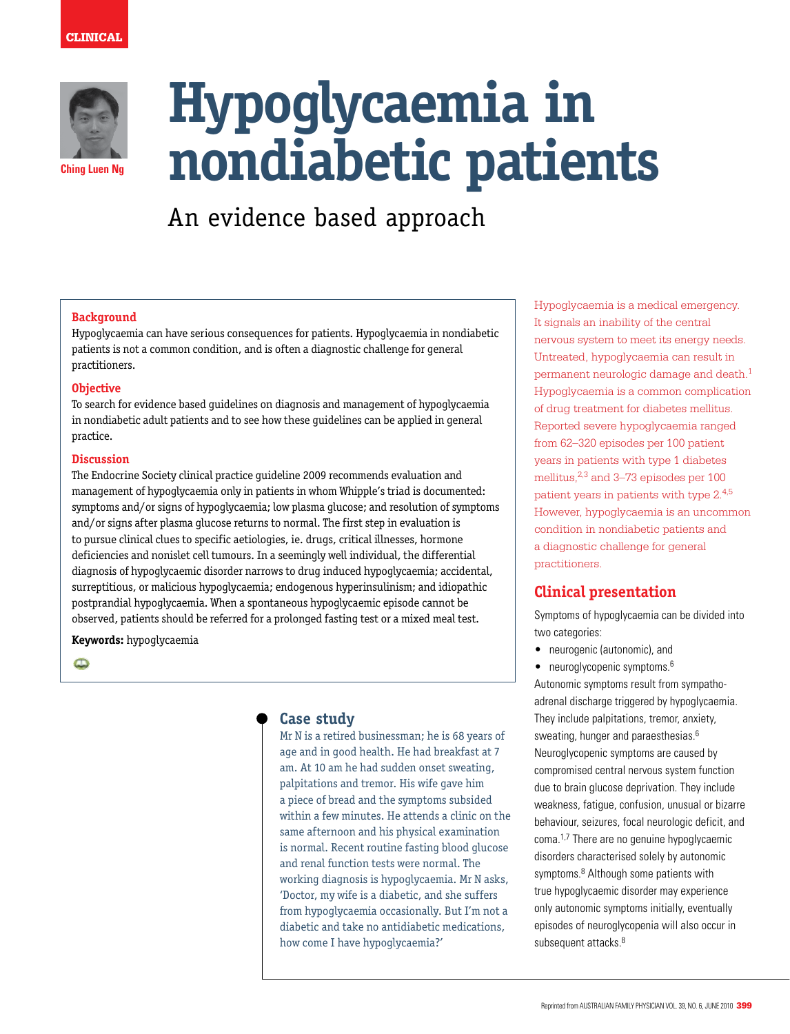

# **Hypoglycaemia in nondiabetic patients**

An evidence based approach

### **Background**

Hypoglycaemia can have serious consequences for patients. Hypoglycaemia in nondiabetic patients is not a common condition, and is often a diagnostic challenge for general practitioners.

### **Objective**

To search for evidence based guidelines on diagnosis and management of hypoglycaemia in nondiabetic adult patients and to see how these guidelines can be applied in general practice.

### **Discussion**

The Endocrine Society clinical practice guideline 2009 recommends evaluation and management of hypoglycaemia only in patients in whom Whipple's triad is documented: symptoms and/or signs of hypoglycaemia; low plasma glucose; and resolution of symptoms and/or signs after plasma glucose returns to normal. The first step in evaluation is to pursue clinical clues to specific aetiologies, ie. drugs, critical illnesses, hormone deficiencies and nonislet cell tumours. In a seemingly well individual, the differential diagnosis of hypoglycaemic disorder narrows to drug induced hypoglycaemia; accidental, surreptitious, or malicious hypoglycaemia; endogenous hyperinsulinism; and idiopathic postprandial hypoglycaemia. When a spontaneous hypoglycaemic episode cannot be observed, patients should be referred for a prolonged fasting test or a mixed meal test.

# **Keywords:** hypoglycaemia

 $\bullet$ 

# **Case study**

Mr N is a retired businessman; he is 68 years of age and in good health. He had breakfast at 7 am. At 10 am he had sudden onset sweating, palpitations and tremor. His wife gave him a piece of bread and the symptoms subsided within a few minutes. He attends a clinic on the same afternoon and his physical examination is normal. Recent routine fasting blood glucose and renal function tests were normal. The working diagnosis is hypoglycaemia. Mr N asks, 'Doctor, my wife is a diabetic, and she suffers from hypoglycaemia occasionally. But I'm not a diabetic and take no antidiabetic medications, how come I have hypoglycaemia?'

Hypoglycaemia is a medical emergency. It signals an inability of the central nervous system to meet its energy needs. Untreated, hypoglycaemia can result in permanent neurologic damage and death.1 Hypoglycaemia is a common complication of drug treatment for diabetes mellitus. Reported severe hypoglycaemia ranged from 62–320 episodes per 100 patient years in patients with type 1 diabetes mellitus,<sup>2,3</sup> and 3-73 episodes per 100 patient years in patients with type 2.4,5 However, hypoglycaemia is an uncommon condition in nondiabetic patients and a diagnostic challenge for general practitioners.

# **Clinical presentation**

Symptoms of hypoglycaemia can be divided into two categories:

- neurogenic (autonomic), and
- neuroglycopenic symptoms. $6$

Autonomic symptoms result from sympathoadrenal discharge triggered by hypoglycaemia. They include palpitations, tremor, anxiety, sweating, hunger and paraesthesias.<sup>6</sup> Neuroglycopenic symptoms are caused by compromised central nervous system function due to brain glucose deprivation. They include weakness, fatigue, confusion, unusual or bizarre behaviour, seizures, focal neurologic deficit, and coma.1,7 There are no genuine hypoglycaemic disorders characterised solely by autonomic symptoms.<sup>8</sup> Although some patients with true hypoglycaemic disorder may experience only autonomic symptoms initially, eventually episodes of neuroglycopenia will also occur in subsequent attacks.<sup>8</sup>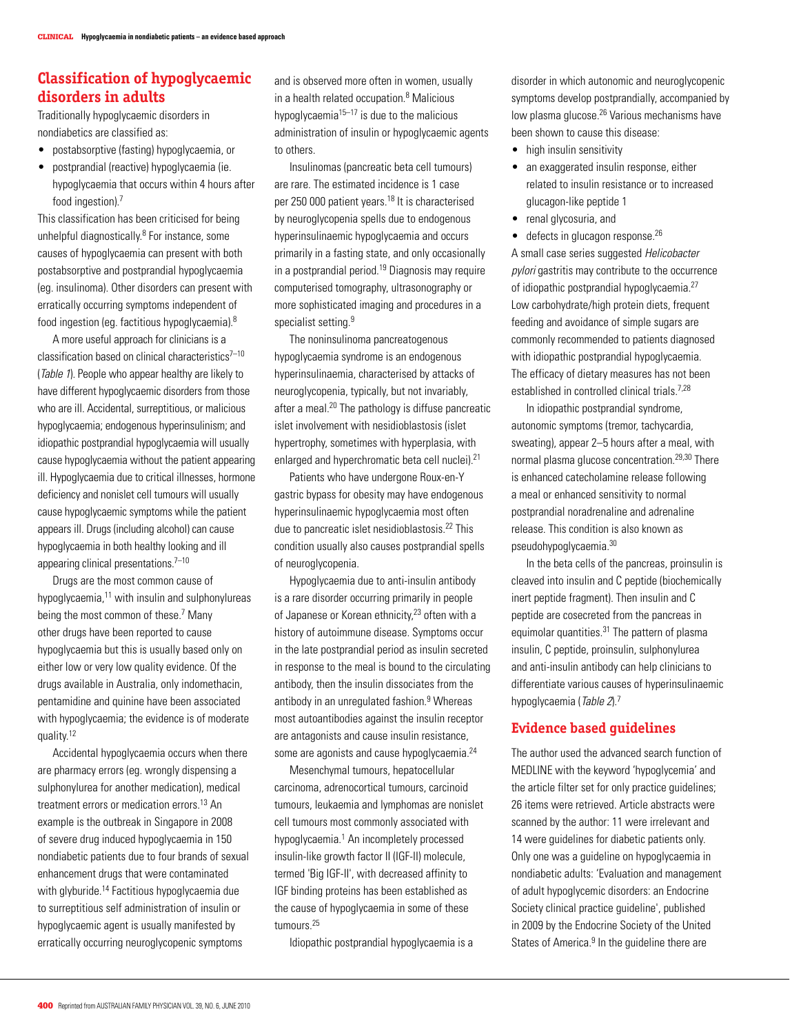# **Classification of hypoglycaemic disorders in adults**

Traditionally hypoglycaemic disorders in nondiabetics are classified as:

- postabsorptive (fasting) hypoglycaemia, or
- postprandial (reactive) hypoglycaemia (ie. hypoglycaemia that occurs within 4 hours after food ingestion).<sup>7</sup>

This classification has been criticised for being unhelpful diagnostically.<sup>8</sup> For instance, some causes of hypoglycaemia can present with both postabsorptive and postprandial hypoglycaemia (eg. insulinoma). Other disorders can present with erratically occurring symptoms independent of food ingestion (eg. factitious hypoglycaemia).<sup>8</sup>

 A more useful approach for clinicians is a classification based on clinical characteristics $7-10$ (Table 1). People who appear healthy are likely to have different hypoglycaemic disorders from those who are ill. Accidental, surreptitious, or malicious hypoglycaemia; endogenous hyperinsulinism; and idiopathic postprandial hypoglycaemia will usually cause hypoglycaemia without the patient appearing ill. Hypoglycaemia due to critical illnesses, hormone deficiency and nonislet cell tumours will usually cause hypoglycaemic symptoms while the patient appears ill. Drugs (including alcohol) can cause hypoglycaemia in both healthy looking and ill appearing clinical presentations.<sup>7-10</sup>

 Drugs are the most common cause of hypoglycaemia, $11$  with insulin and sulphonylureas being the most common of these.<sup>7</sup> Many other drugs have been reported to cause hypoglycaemia but this is usually based only on either low or very low quality evidence. Of the drugs available in Australia, only indomethacin, pentamidine and quinine have been associated with hypoglycaemia; the evidence is of moderate quality.<sup>12</sup>

 Accidental hypoglycaemia occurs when there are pharmacy errors (eg. wrongly dispensing a sulphonylurea for another medication), medical treatment errors or medication errors.<sup>13</sup> An example is the outbreak in Singapore in 2008 of severe drug induced hypoglycaemia in 150 nondiabetic patients due to four brands of sexual enhancement drugs that were contaminated with glyburide.<sup>14</sup> Factitious hypoglycaemia due to surreptitious self administration of insulin or hypoglycaemic agent is usually manifested by erratically occurring neuroglycopenic symptoms

and is observed more often in women, usually in a health related occupation.<sup>8</sup> Malicious hypoglycaemia<sup>15–17</sup> is due to the malicious administration of insulin or hypoglycaemic agents to others.

 Insulinomas (pancreatic beta cell tumours) are rare. The estimated incidence is 1 case per 250 000 patient years.<sup>18</sup> It is characterised by neuroglycopenia spells due to endogenous hyperinsulinaemic hypoglycaemia and occurs primarily in a fasting state, and only occasionally in a postprandial period.19 Diagnosis may require computerised tomography, ultrasonography or more sophisticated imaging and procedures in a specialist setting.<sup>9</sup>

 The noninsulinoma pancreatogenous hypoglycaemia syndrome is an endogenous hyperinsulinaemia, characterised by attacks of neuroglycopenia, typically, but not invariably, after a meal.20 The pathology is diffuse pancreatic islet involvement with nesidioblastosis (islet hypertrophy, sometimes with hyperplasia, with enlarged and hyperchromatic beta cell nuclei).<sup>21</sup>

 Patients who have undergone Roux-en-Y gastric bypass for obesity may have endogenous hyperinsulinaemic hypoglycaemia most often due to pancreatic islet nesidioblastosis.<sup>22</sup> This condition usually also causes postprandial spells of neuroglycopenia.

 Hypoglycaemia due to anti-insulin antibody is a rare disorder occurring primarily in people of Japanese or Korean ethnicity,<sup>23</sup> often with a history of autoimmune disease. Symptoms occur in the late postprandial period as insulin secreted in response to the meal is bound to the circulating antibody, then the insulin dissociates from the antibody in an unregulated fashion.<sup>9</sup> Whereas most autoantibodies against the insulin receptor are antagonists and cause insulin resistance, some are agonists and cause hypoglycaemia.<sup>24</sup>

 Mesenchymal tumours, hepatocellular carcinoma, adrenocortical tumours, carcinoid tumours, leukaemia and lymphomas are nonislet cell tumours most commonly associated with hypoglycaemia.<sup>1</sup> An incompletely processed insulin-like growth factor II (IGF-II) molecule, termed 'Big IGF-II', with decreased affinity to IGF binding proteins has been established as the cause of hypoglycaemia in some of these tumours.25

Idiopathic postprandial hypoglycaemia is a

disorder in which autonomic and neuroglycopenic symptoms develop postprandially, accompanied by low plasma glucose.<sup>26</sup> Various mechanisms have been shown to cause this disease:

- high insulin sensitivity
- an exaggerated insulin response, either related to insulin resistance or to increased glucagon-like peptide 1
- renal glycosuria, and
- $\bullet$  defects in glucagon response.<sup>26</sup>

A small case series suggested Helicobacter pylori gastritis may contribute to the occurrence of idiopathic postprandial hypoglycaemia.27 Low carbohydrate/high protein diets, frequent feeding and avoidance of simple sugars are commonly recommended to patients diagnosed with idiopathic postprandial hypoglycaemia. The efficacy of dietary measures has not been established in controlled clinical trials.<sup>7,28</sup>

 In idiopathic postprandial syndrome, autonomic symptoms (tremor, tachycardia, sweating), appear 2–5 hours after a meal, with normal plasma glucose concentration.29,30 There is enhanced catecholamine release following a meal or enhanced sensitivity to normal postprandial noradrenaline and adrenaline release. This condition is also known as pseudohypoglycaemia.<sup>30</sup>

 In the beta cells of the pancreas, proinsulin is cleaved into insulin and C peptide (biochemically inert peptide fragment). Then insulin and C peptide are cosecreted from the pancreas in equimolar quantities.<sup>31</sup> The pattern of plasma insulin, C peptide, proinsulin, sulphonylurea and anti-insulin antibody can help clinicians to differentiate various causes of hyperinsulinaemic hypoglycaemia (Table 2).<sup>7</sup>

# **Evidence based guidelines**

The author used the advanced search function of MEDLINE with the keyword 'hypoglycemia' and the article filter set for only practice guidelines; 26 items were retrieved. Article abstracts were scanned by the author: 11 were irrelevant and 14 were guidelines for diabetic patients only. Only one was a guideline on hypoglycaemia in nondiabetic adults: 'Evaluation and management of adult hypoglycemic disorders: an Endocrine Society clinical practice guideline', published in 2009 by the Endocrine Society of the United States of America.<sup>9</sup> In the guideline there are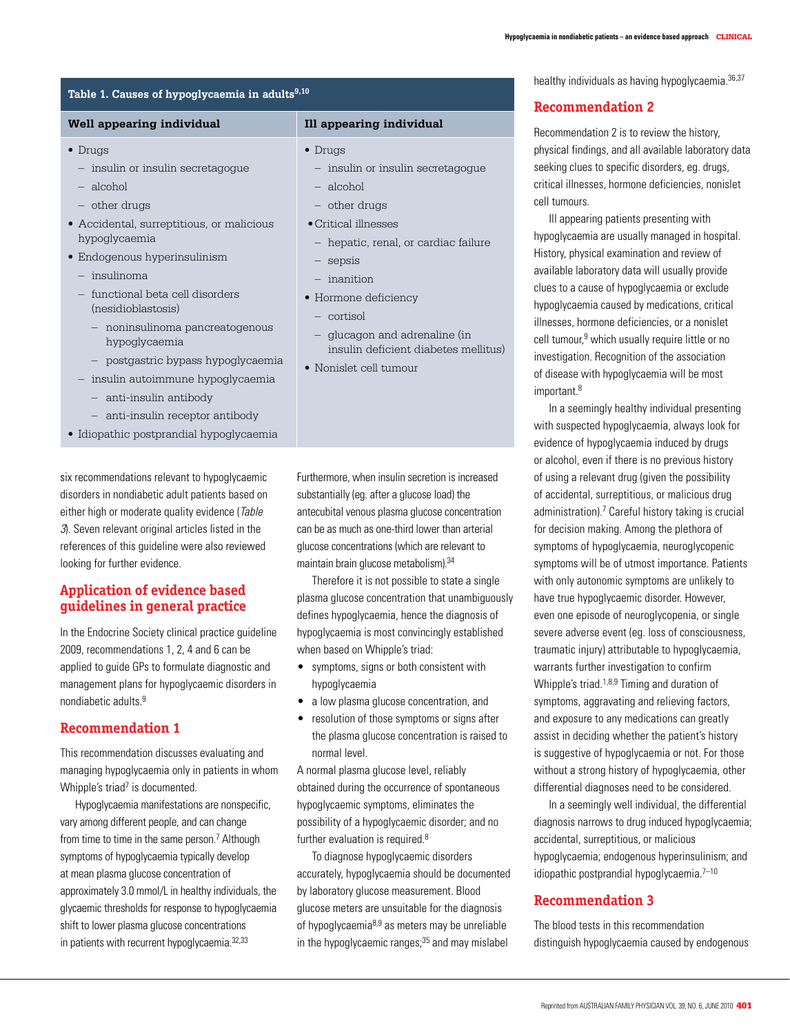healthy individuals as having hypoglycaemia.<sup>36,37</sup>

### **Table 1. Causes of hypoglycaemia in adults9,10**

### **Well appearing individual Ill appearing individual**

### • Drugs

- insulin or insulin secretagogue
- alcohol
- other drugs
- • Accidental, surreptitious, or malicious hypoglycaemia
- Endogenous hyperinsulinism
	- insulinoma
	- functional beta cell disorders (nesidioblastosis)
		- noninsulinoma pancreatogenous hypoglycaemia
		- postgastric bypass hypoglycaemia
	- insulin autoimmune hypoglycaemia
		- anti-insulin antibody
		- anti-insulin receptor antibody
- Idiopathic postprandial hypoglycaemia

six recommendations relevant to hypoglycaemic disorders in nondiabetic adult patients based on either high or moderate quality evidence (Table 3). Seven relevant original articles listed in the references of this guideline were also reviewed looking for further evidence.

# **Application of evidence based guidelines in general practice**

In the Endocrine Society clinical practice guideline 2009, recommendations 1, 2, 4 and 6 can be applied to guide GPs to formulate diagnostic and management plans for hypoglycaemic disorders in nondiabetic adults<sup>9</sup>

### **Recommendation 1**

This recommendation discusses evaluating and managing hypoglycaemia only in patients in whom Whipple's triad<sup>7</sup> is documented.

 Hypoglycaemia manifestations are nonspecific, vary among different people, and can change from time to time in the same person.<sup>7</sup> Although symptoms of hypoglycaemia typically develop at mean plasma glucose concentration of approximately 3.0 mmol/L in healthy individuals, the glycaemic thresholds for response to hypoglycaemia shift to lower plasma glucose concentrations in patients with recurrent hypoglycaemia.<sup>32,33</sup>

### • Drugs

- insulin or insulin secretagogue
- alcohol
- other drugs
- • Critical illnesses
- hepatic, renal, or cardiac failure
- insulin deficient diabetes mellitus)

Furthermore, when insulin secretion is increased substantially(eg. after a glucose load) the antecubital venous plasma glucose concentration can be as much as one-third lower than arterial glucose concentrations(which are relevant to maintain brain glucose metabolism).34

 Therefore it is not possible to state a single plasma glucose concentration that unambiguously defines hypoglycaemia, hence the diagnosis of hypoglycaemia is most convincingly established when based on Whipple's triad:

- • symptoms, signs or both consistent with hypoglycaemia
- a low plasma glucose concentration, and
- resolution of those symptoms or signs after the plasma glucose concentration is raised to normal level.

A normal plasma glucose level, reliably obtained during the occurrence of spontaneous hypoglycaemic symptoms, eliminates the possibility of a hypoglycaemic disorder; and no further evaluation is required.<sup>8</sup>

 To diagnose hypoglycaemic disorders accurately, hypoglycaemia should be documented by laboratory glucose measurement. Blood glucose meters are unsuitable for the diagnosis of hypoglycaemia $8,9$  as meters may be unreliable in the hypoglycaemic ranges;<sup>35</sup> and may mislabel

# **Recommendation 2**

Recommendation 2 is to review the history, physical findings, and all available laboratory data seeking clues to specific disorders, eg. drugs, critical illnesses, hormone deficiencies, nonislet cell tumours.

 Ill appearing patients presenting with hypoglycaemia are usually managed in hospital. History, physical examination and review of available laboratory data will usually provide clues to a cause of hypoglycaemia or exclude hypoglycaemia caused by medications, critical illnesses, hormone deficiencies, or a nonislet cell tumour,<sup>9</sup> which usually require little or no investigation. Recognition of the association of disease with hypoglycaemia will be most important.<sup>8</sup>

 In a seemingly healthy individual presenting with suspected hypoglycaemia, always look for evidence of hypoglycaemia induced by drugs or alcohol, even if there is no previous history of using a relevant drug (given the possibility of accidental, surreptitious, or malicious drug administration).<sup>7</sup> Careful history taking is crucial for decision making. Among the plethora of symptoms of hypoglycaemia, neuroglycopenic symptoms will be of utmost importance. Patients with only autonomic symptoms are unlikely to have true hypoglycaemic disorder. However, even one episode of neuroglycopenia, or single severe adverse event (eg. loss of consciousness, traumatic injury) attributable to hypoglycaemia, warrants further investigation to confirm Whipple's triad.<sup>1,8,9</sup> Timing and duration of symptoms, aggravating and relieving factors, and exposure to any medications can greatly assist in deciding whether the patient's history is suggestive of hypoglycaemia or not. For those without a strong history of hypoglycaemia, other differential diagnoses need to be considered.

 In a seemingly well individual, the differential diagnosis narrows to drug induced hypoglycaemia; accidental, surreptitious, or malicious hypoglycaemia; endogenous hyperinsulinism; and idiopathic postprandial hypoglycaemia.7–10

### **Recommendation 3**

The blood tests in this recommendation distinguish hypoglycaemia caused by endogenous

– sepsis – inanition • Hormone deficiency – cortisol – glucagon and adrenaline (in • Nonislet cell tumour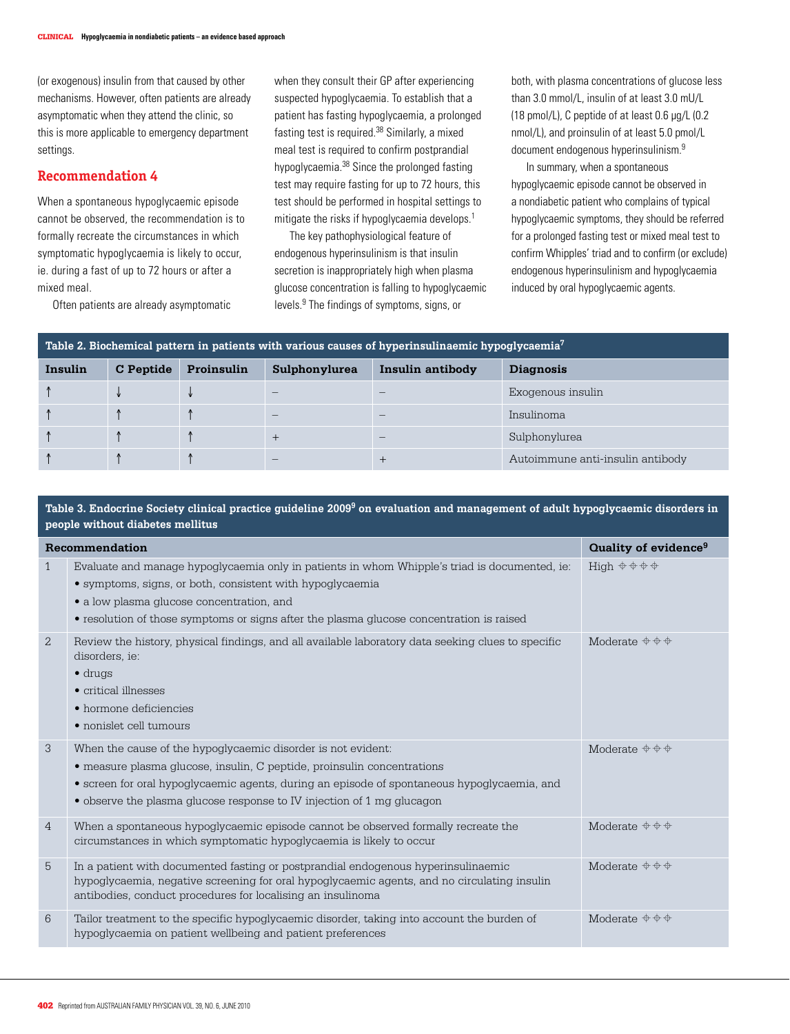(or exogenous) insulin from that caused by other mechanisms. However, often patients are already asymptomatic when they attend the clinic, so this is more applicable to emergency department settings.

# **Recommendation 4**

When a spontaneous hypoglycaemic episode cannot be observed, the recommendation is to formally recreate the circumstances in which symptomatic hypoglycaemia is likely to occur, ie. during a fast of up to 72 hours or after a mixed meal.

Often patients are already asymptomatic

when they consult their GP after experiencing suspected hypoglycaemia. To establish that a patient has fasting hypoglycaemia, a prolonged fasting test is required.<sup>38</sup> Similarly, a mixed meal test is required to confirm postprandial hypoglycaemia.38 Since the prolonged fasting test may require fasting for up to 72 hours, this test should be performed in hospital settings to mitigate the risks if hypoglycaemia develops.<sup>1</sup>

 The key pathophysiological feature of endogenous hyperinsulinism is that insulin secretion is inappropriately high when plasma glucose concentration is falling to hypoglycaemic levels.9 The findings of symptoms, signs, or

both, with plasma concentrations of glucose less than 3.0 mmol/L, insulin of at least 3.0 mU/L (18 pmol/L), C peptide of at least 0.6 µg/L (0.2 nmol/L), and proinsulin of at least 5.0 pmol/L document endogenous hyperinsulinism.<sup>9</sup>

 In summary, when a spontaneous hypoglycaemic episode cannot be observed in a nondiabetic patient who complains of typical hypoglycaemic symptoms, they should be referred for a prolonged fasting test or mixed meal test to confirm Whipples' triad and to confirm (or exclude) endogenous hyperinsulinism and hypoglycaemia induced by oral hypoglycaemic agents.

| Table 2. Biochemical pattern in patients with various causes of hyperinsulinaemic hypoglycaemia <sup>7</sup> |           |            |               |                  |                                  |  |  |
|--------------------------------------------------------------------------------------------------------------|-----------|------------|---------------|------------------|----------------------------------|--|--|
| Insulin                                                                                                      | C Peptide | Proinsulin | Sulphonylurea | Insulin antibody | <b>Diagnosis</b>                 |  |  |
|                                                                                                              |           |            |               |                  | Exogenous insulin                |  |  |
|                                                                                                              |           |            |               |                  | Insulinoma                       |  |  |
|                                                                                                              |           |            |               |                  | Sulphonylurea                    |  |  |
|                                                                                                              |           |            |               |                  | Autoimmune anti-insulin antibody |  |  |

### **Table 3. Endocrine Society clinical practice guideline 20099 on evaluation and management of adult hypoglycaemic disorders in people without diabetes mellitus**

|                | Recommendation                                                                                                                                                                                                                                                                                                   | Quality of evidence <sup>9</sup>    |  |  |  |  |
|----------------|------------------------------------------------------------------------------------------------------------------------------------------------------------------------------------------------------------------------------------------------------------------------------------------------------------------|-------------------------------------|--|--|--|--|
| $\mathbf{1}$   | Evaluate and manage hypoglycaemia only in patients in whom Whipple's triad is documented, ie:<br>• symptoms, signs, or both, consistent with hypoglycaemia<br>• a low plasma glucose concentration, and<br>• resolution of those symptoms or signs after the plasma glucose concentration is raised              | High $\phi \phi \phi \phi$          |  |  |  |  |
| $\overline{2}$ | Review the history, physical findings, and all available laboratory data seeking clues to specific<br>disorders, ie:<br>$\bullet$ drugs<br>$\bullet$ critical illnesses<br>• hormone deficiencies<br>• nonislet cell tumours                                                                                     | Moderate $\oplus$ $\oplus$ $\oplus$ |  |  |  |  |
| 3              | When the cause of the hypoglycaemic disorder is not evident:<br>• measure plasma glucose, insulin, C peptide, proinsulin concentrations<br>• screen for oral hypoglycaemic agents, during an episode of spontaneous hypoglycaemia, and<br>• observe the plasma glucose response to IV injection of 1 mg glucagon | Moderate $\phi \phi \phi$           |  |  |  |  |
| $\overline{4}$ | When a spontaneous hypoglycaemic episode cannot be observed formally recreate the<br>circumstances in which symptomatic hypoglycaemia is likely to occur                                                                                                                                                         | Moderate $\phi \phi \phi$           |  |  |  |  |
| 5              | In a patient with documented fasting or postprandial endogenous hyperinsulinaemic<br>hypoglycaemia, negative screening for oral hypoglycaemic agents, and no circulating insulin<br>antibodies, conduct procedures for localising an insulinoma                                                                  | Moderate $\phi \phi \phi$           |  |  |  |  |
| 6              | Tailor treatment to the specific hypoglycaemic disorder, taking into account the burden of<br>hypoglycaemia on patient wellbeing and patient preferences                                                                                                                                                         | Moderate $\phi \phi \phi$           |  |  |  |  |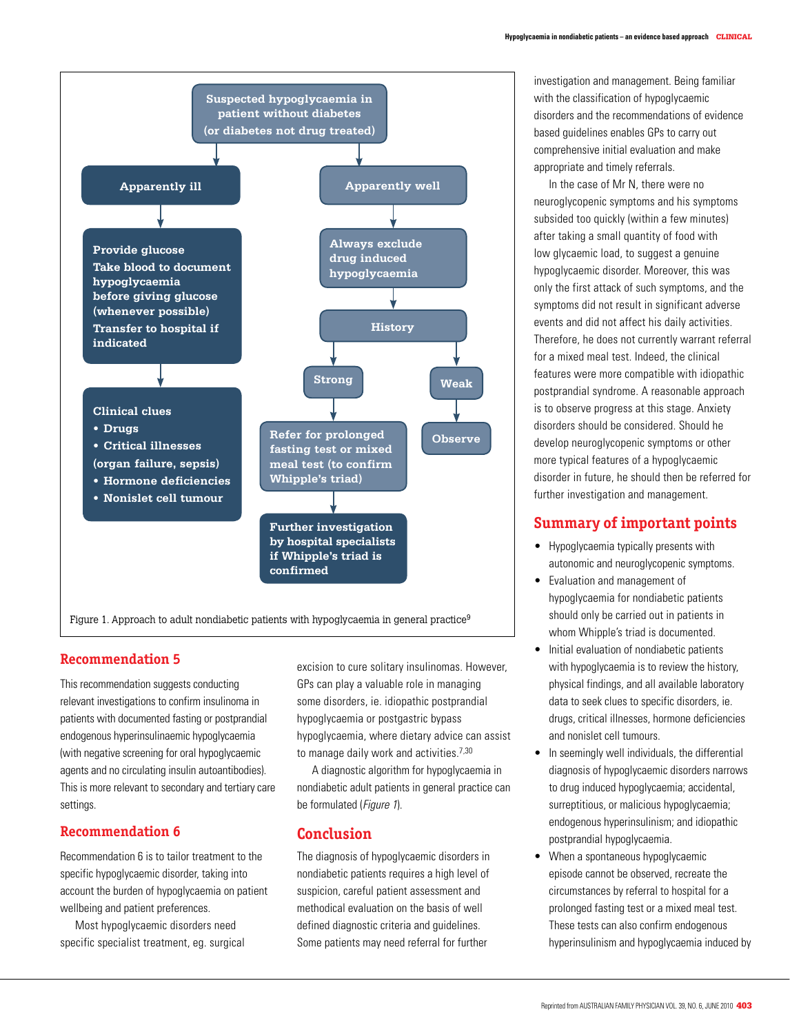

Figure 1. Approach to adult nondiabetic patients with hypoglycaemia in general practice<sup>9</sup>

# **Recommendation 5**

This recommendation suggests conducting relevant investigations to confirm insulinoma in patients with documented fasting or postprandial endogenous hyperinsulinaemic hypoglycaemia (with negative screening for oral hypoglycaemic agents and no circulating insulin autoantibodies). This is more relevant to secondary and tertiary care settings.

### **Recommendation 6**

Recommendation 6 is to tailor treatment to the specific hypoglycaemic disorder, taking into account the burden of hypoglycaemia on patient wellbeing and patient preferences.

 Most hypoglycaemic disorders need specific specialist treatment, eg. surgical excision to cure solitary insulinomas. However, GPs can play a valuable role in managing some disorders, ie. idiopathic postprandial hypoglycaemia or postgastric bypass hypoglycaemia, where dietary advice can assist to manage daily work and activities.<sup>7,30</sup>

A diagnostic algorithm for hypoglycaemia in nondiabetic adult patients in general practice can be formulated (Figure 1).

## **Conclusion**

The diagnosis of hypoglycaemic disorders in nondiabetic patients requires a high level of suspicion, careful patient assessment and methodical evaluation on the basis of well defined diagnostic criteria and guidelines. Some patients may need referral for further

investigation and management. Being familiar with the classification of hypoglycaemic disorders and the recommendations of evidence based guidelines enables GPs to carry out comprehensive initial evaluation and make appropriate and timely referrals.

 In the case of Mr N, there were no neuroglycopenic symptoms and his symptoms subsided too quickly (within a few minutes) after taking a small quantity of food with low glycaemic load, to suggest a genuine hypoglycaemic disorder. Moreover, this was only the first attack of such symptoms, and the symptoms did not result in significant adverse events and did not affect his daily activities. Therefore, he does not currently warrant referral for a mixed meal test. Indeed, the clinical features were more compatible with idiopathic postprandial syndrome. A reasonable approach is to observe progress at this stage. Anxiety disorders should be considered. Should he develop neuroglycopenic symptoms or other more typical features of a hypoglycaemic disorder in future, he should then be referred for further investigation and management.

# **Summary of important points**

- • Hypoglycaemia typically presents with autonomic and neuroglycopenic symptoms.
- • Evaluation and management of hypoglycaemia for nondiabetic patients should only be carried out in patients in whom Whipple's triad is documented.
- • Initial evaluation of nondiabetic patients with hypoglycaemia is to review the history, physical findings, and all available laboratory data to seek clues to specific disorders, ie. drugs, critical illnesses, hormone deficiencies and nonislet cell tumours.
- In seemingly well individuals, the differential diagnosis of hypoglycaemic disorders narrows to drug induced hypoglycaemia; accidental, surreptitious, or malicious hypoglycaemia; endogenous hyperinsulinism; and idiopathic postprandial hypoglycaemia.
- When a spontaneous hypoglycaemic episode cannot be observed, recreate the circumstances by referral to hospital for a prolonged fasting test or a mixed meal test. These tests can also confirm endogenous hyperinsulinism and hypoglycaemia induced by